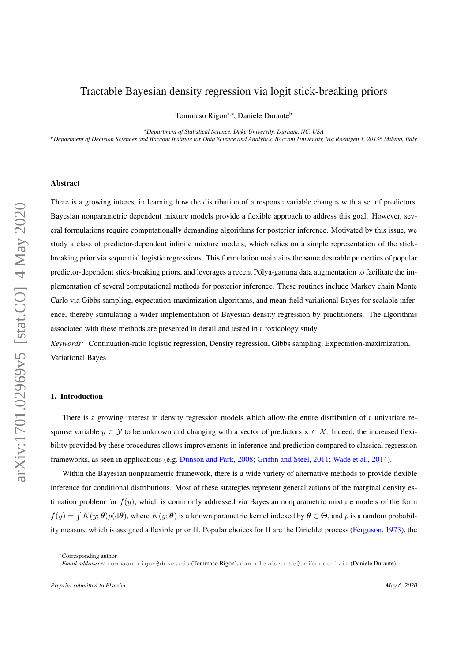# Tractable Bayesian density regression via logit stick-breaking priors

Tommaso Rigon<sup>a,∗</sup>, Daniele Durante<sup>b</sup>

*<sup>a</sup>Department of Statistical Science, Duke University, Durham, NC, USA <sup>b</sup>Department of Decision Sciences and Bocconi Institute for Data Science and Analytics, Bocconi University, Via Roentgen 1, 20136 Milano, Italy*

## Abstract

There is a growing interest in learning how the distribution of a response variable changes with a set of predictors. Bayesian nonparametric dependent mixture models provide a flexible approach to address this goal. However, several formulations require computationally demanding algorithms for posterior inference. Motivated by this issue, we study a class of predictor-dependent infinite mixture models, which relies on a simple representation of the stickbreaking prior via sequential logistic regressions. This formulation maintains the same desirable properties of popular predictor-dependent stick-breaking priors, and leverages a recent Polya-gamma data augmentation to facilitate the im- ´ plementation of several computational methods for posterior inference. These routines include Markov chain Monte Carlo via Gibbs sampling, expectation-maximization algorithms, and mean-field variational Bayes for scalable inference, thereby stimulating a wider implementation of Bayesian density regression by practitioners. The algorithms associated with these methods are presented in detail and tested in a toxicology study.

*Keywords:* Continuation-ratio logistic regression, Density regression, Gibbs sampling, Expectation-maximization, Variational Bayes

### <span id="page-0-0"></span>1. Introduction

There is a growing interest in density regression models which allow the entire distribution of a univariate response variable  $y \in Y$  to be unknown and changing with a vector of predictors  $x \in \mathcal{X}$ . Indeed, the increased flexibility provided by these procedures allows improvements in inference and prediction compared to classical regression frameworks, as seen in applications (e.g. [Dunson and Park,](#page-16-0) [2008;](#page-16-0) [Griffin and Steel,](#page-16-1) [2011;](#page-16-1) [Wade et al.,](#page-17-0) [2014\)](#page-17-0).

Within the Bayesian nonparametric framework, there is a wide variety of alternative methods to provide flexible inference for conditional distributions. Most of these strategies represent generalizations of the marginal density estimation problem for  $f(y)$ , which is commonly addressed via Bayesian nonparametric mixture models of the form  $f(y) = \int K(y; \theta)p(d\theta)$ , where  $K(y; \theta)$  is a known parametric kernel indexed by  $\theta \in \Theta$ , and p is a random probability measure which is assigned a flexible prior Π. Popular choices for Π are the Dirichlet process [\(Ferguson,](#page-16-2) [1973\)](#page-16-2), the

<sup>∗</sup>Corresponding author

*Email addresses:* tommaso.rigon@duke.edu (Tommaso Rigon), daniele.durante@unibocconi.it (Daniele Durante)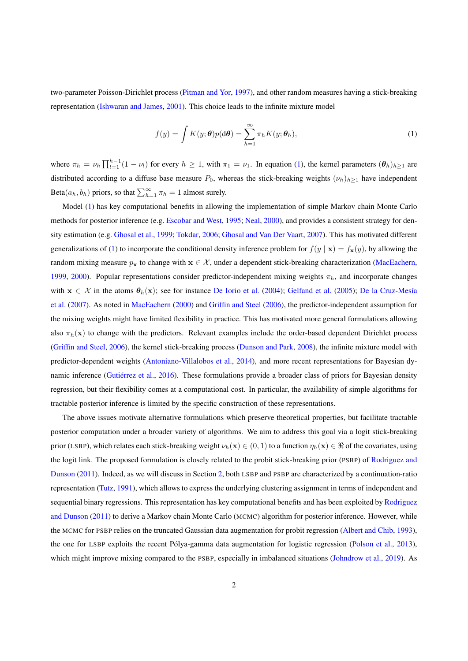two-parameter Poisson-Dirichlet process [\(Pitman and Yor,](#page-17-1) [1997\)](#page-17-1), and other random measures having a stick-breaking representation [\(Ishwaran and James,](#page-16-3) [2001\)](#page-16-3). This choice leads to the infinite mixture model

<span id="page-1-0"></span>
$$
f(y) = \int K(y; \theta) p(d\theta) = \sum_{h=1}^{\infty} \pi_h K(y; \theta_h),
$$
 (1)

where  $\pi_h = \nu_h \prod_{l=1}^{h-1} (1 - \nu_l)$  for every  $h \ge 1$ , with  $\pi_1 = \nu_1$ . In equation [\(1\)](#page-1-0), the kernel parameters  $(\theta_h)_{h \ge 1}$  are distributed according to a diffuse base measure  $P_0$ , whereas the stick-breaking weights  $(\nu_h)_{h\geq 1}$  have independent Beta $(a_h, b_h)$  priors, so that  $\sum_{h=1}^{\infty} \pi_h = 1$  almost surely.

Model [\(1\)](#page-1-0) has key computational benefits in allowing the implementation of simple Markov chain Monte Carlo methods for posterior inference (e.g. [Escobar and West,](#page-16-4) [1995;](#page-16-4) [Neal,](#page-17-2) [2000\)](#page-17-2), and provides a consistent strategy for density estimation (e.g. [Ghosal et al.,](#page-16-5) [1999;](#page-16-5) [Tokdar,](#page-17-3) [2006;](#page-17-3) [Ghosal and Van Der Vaart,](#page-16-6) [2007\)](#page-16-6). This has motivated different generalizations of [\(1\)](#page-1-0) to incorporate the conditional density inference problem for  $f(y | x) = f_x(y)$ , by allowing the random mixing measure  $p_x$  to change with  $x \in \mathcal{X}$ , under a dependent stick-breaking characterization [\(MacEachern,](#page-17-4) [1999,](#page-17-4) [2000\)](#page-17-5). Popular representations consider predictor-independent mixing weights  $\pi_h$ , and incorporate changes with  $x \in \mathcal{X}$  in the atoms  $\theta_h(x)$ ; see for instance [De Iorio et al.](#page-16-7) [\(2004\)](#page-16-7); [Gelfand et al.](#page-16-8) [\(2005\)](#page-16-8); De la Cruz-Mesía [et al.](#page-16-9) [\(2007\)](#page-16-9). As noted in [MacEachern](#page-17-5) [\(2000\)](#page-17-5) and [Griffin and Steel](#page-16-10) [\(2006\)](#page-16-10), the predictor-independent assumption for the mixing weights might have limited flexibility in practice. This has motivated more general formulations allowing also  $\pi_h(\mathbf{x})$  to change with the predictors. Relevant examples include the order-based dependent Dirichlet process [\(Griffin and Steel,](#page-16-10) [2006\)](#page-16-10), the kernel stick-breaking process [\(Dunson and Park,](#page-16-0) [2008\)](#page-16-0), the infinite mixture model with predictor-dependent weights [\(Antoniano-Villalobos et al.,](#page-16-11) [2014\)](#page-16-11), and more recent representations for Bayesian dy-namic inference (Gutiérrez et al., [2016\)](#page-16-12). These formulations provide a broader class of priors for Bayesian density regression, but their flexibility comes at a computational cost. In particular, the availability of simple algorithms for tractable posterior inference is limited by the specific construction of these representations.

The above issues motivate alternative formulations which preserve theoretical properties, but facilitate tractable posterior computation under a broader variety of algorithms. We aim to address this goal via a logit stick-breaking prior (LSBP), which relates each stick-breaking weight  $\nu_h(\mathbf{x}) \in (0,1)$  to a function  $\eta_h(\mathbf{x}) \in \Re$  of the covariates, using the logit link. The proposed formulation is closely related to the probit stick-breaking prior (PSBP) of [Rodriguez and](#page-17-6) [Dunson](#page-17-6) [\(2011\)](#page-17-6). Indeed, as we will discuss in Section [2,](#page-2-0) both LSBP and PSBP are characterized by a continuation-ratio representation [\(Tutz,](#page-17-7) [1991\)](#page-17-7), which allows to express the underlying clustering assignment in terms of independent and sequential binary regressions. This representation has key computational benefits and has been exploited by [Rodriguez](#page-17-6) [and Dunson](#page-17-6) [\(2011\)](#page-17-6) to derive a Markov chain Monte Carlo (MCMC) algorithm for posterior inference. However, while the MCMC for PSBP relies on the truncated Gaussian data augmentation for probit regression [\(Albert and Chib,](#page-16-13) [1993\)](#page-16-13), the one for LSBP exploits the recent Pólya-gamma data augmentation for logistic regression ([Polson et al.,](#page-17-8) [2013\)](#page-17-8), which might improve mixing compared to the PSBP, especially in imbalanced situations [\(Johndrow et al.,](#page-17-9) [2019\)](#page-17-9). As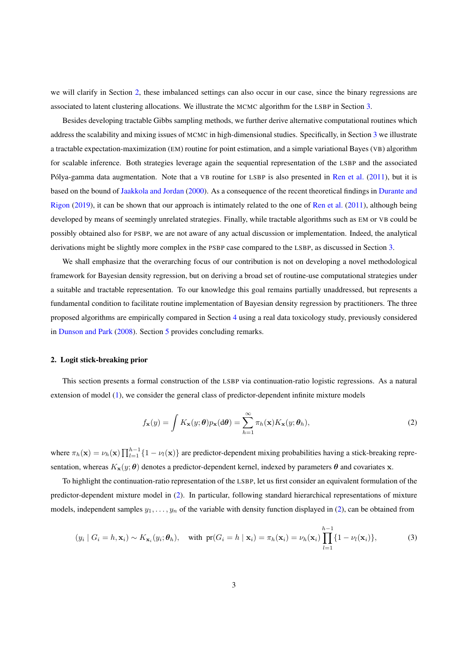we will clarify in Section [2,](#page-2-0) these imbalanced settings can also occur in our case, since the binary regressions are associated to latent clustering allocations. We illustrate the MCMC algorithm for the LSBP in Section [3.](#page-5-0)

Besides developing tractable Gibbs sampling methods, we further derive alternative computational routines which address the scalability and mixing issues of MCMC in high-dimensional studies. Specifically, in Section [3](#page-5-0) we illustrate a tractable expectation-maximization (EM) routine for point estimation, and a simple variational Bayes (VB) algorithm for scalable inference. Both strategies leverage again the sequential representation of the LSBP and the associated Pólya-gamma data augmentation. Note that a  $VB$  routine for LSBP is also presented in [Ren et al.](#page-17-10) [\(2011\)](#page-17-10), but it is based on the bound of [Jaakkola and Jordan](#page-17-11) [\(2000\)](#page-17-11). As a consequence of the recent theoretical findings in [Durante and](#page-16-14) [Rigon](#page-16-14) [\(2019\)](#page-16-14), it can be shown that our approach is intimately related to the one of [Ren et al.](#page-17-10) [\(2011\)](#page-17-10), although being developed by means of seemingly unrelated strategies. Finally, while tractable algorithms such as EM or VB could be possibly obtained also for PSBP, we are not aware of any actual discussion or implementation. Indeed, the analytical derivations might be slightly more complex in the PSBP case compared to the LSBP, as discussed in Section [3.](#page-5-0)

We shall emphasize that the overarching focus of our contribution is not on developing a novel methodological framework for Bayesian density regression, but on deriving a broad set of routine-use computational strategies under a suitable and tractable representation. To our knowledge this goal remains partially unaddressed, but represents a fundamental condition to facilitate routine implementation of Bayesian density regression by practitioners. The three proposed algorithms are empirically compared in Section [4](#page-12-0) using a real data toxicology study, previously considered in [Dunson and Park](#page-16-0) [\(2008\)](#page-16-0). Section [5](#page-14-0) provides concluding remarks.

### <span id="page-2-0"></span>2. Logit stick-breaking prior

This section presents a formal construction of the LSBP via continuation-ratio logistic regressions. As a natural extension of model [\(1\)](#page-1-0), we consider the general class of predictor-dependent infinite mixture models

<span id="page-2-1"></span>
$$
f_{\mathbf{x}}(y) = \int K_{\mathbf{x}}(y; \theta) p_{\mathbf{x}}(d\theta) = \sum_{h=1}^{\infty} \pi_h(\mathbf{x}) K_{\mathbf{x}}(y; \theta_h),
$$
 (2)

where  $\pi_h(\mathbf{x}) = \nu_h(\mathbf{x}) \prod_{l=1}^{h-1} \{1 - \nu_l(\mathbf{x})\}$  are predictor-dependent mixing probabilities having a stick-breaking representation, whereas  $K_{\mathbf{x}}(y; \theta)$  denotes a predictor-dependent kernel, indexed by parameters  $\theta$  and covariates x.

To highlight the continuation-ratio representation of the LSBP, let us first consider an equivalent formulation of the predictor-dependent mixture model in [\(2\)](#page-2-1). In particular, following standard hierarchical representations of mixture models, independent samples  $y_1, \ldots, y_n$  of the variable with density function displayed in [\(2\)](#page-2-1), can be obtained from

<span id="page-2-2"></span>
$$
(y_i \mid G_i = h, \mathbf{x}_i) \sim K_{\mathbf{x}_i}(y_i; \boldsymbol{\theta}_h), \quad \text{with } \text{pr}(G_i = h \mid \mathbf{x}_i) = \pi_h(\mathbf{x}_i) = \nu_h(\mathbf{x}_i) \prod_{l=1}^{h-1} \{1 - \nu_l(\mathbf{x}_i)\},
$$
 (3)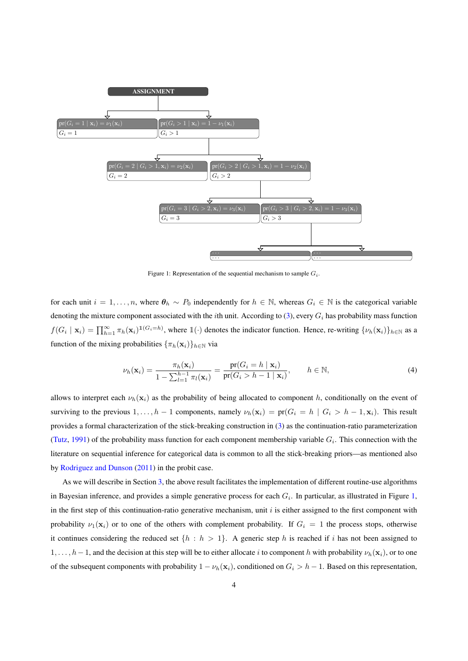

<span id="page-3-0"></span>Figure 1: Representation of the sequential mechanism to sample  $G_i$ .

for each unit  $i = 1, \ldots, n$ , where  $\theta_h \sim P_0$  independently for  $h \in \mathbb{N}$ , whereas  $G_i \in \mathbb{N}$  is the categorical variable denoting the mixture component associated with the *i*th unit. According to  $(3)$ , every  $G_i$  has probability mass function  $f(G_i \mid \mathbf{x}_i) = \prod_{h=1}^{\infty} \pi_h(\mathbf{x}_i)^{\mathbb{1}(G_i=h)}$ , where  $\mathbb{1}(\cdot)$  denotes the indicator function. Hence, re-writing  $\{\nu_h(\mathbf{x}_i)\}_{h \in \mathbb{N}}$  as a function of the mixing probabilities  $\{\pi_h(\mathbf{x}_i)\}_{h\in\mathbb{N}}$  via

$$
\nu_h(\mathbf{x}_i) = \frac{\pi_h(\mathbf{x}_i)}{1 - \sum_{l=1}^{h-1} \pi_l(\mathbf{x}_i)} = \frac{\text{pr}(G_i = h \mid \mathbf{x}_i)}{\text{pr}(G_i > h-1 \mid \mathbf{x}_i)}, \qquad h \in \mathbb{N},\tag{4}
$$

allows to interpret each  $\nu_h(\mathbf{x}_i)$  as the probability of being allocated to component h, conditionally on the event of surviving to the previous  $1, \ldots, h-1$  components, namely  $\nu_h(\mathbf{x}_i) = \text{pr}(G_i = h \mid G_i > h-1, \mathbf{x}_i)$ . This result provides a formal characterization of the stick-breaking construction in [\(3\)](#page-2-2) as the continuation-ratio parameterization [\(Tutz,](#page-17-7) [1991\)](#page-17-7) of the probability mass function for each component membership variable  $G_i$ . This connection with the literature on sequential inference for categorical data is common to all the stick-breaking priors—as mentioned also by [Rodriguez and Dunson](#page-17-6) [\(2011\)](#page-17-6) in the probit case.

As we will describe in Section [3,](#page-5-0) the above result facilitates the implementation of different routine-use algorithms in Bayesian inference, and provides a simple generative process for each  $G_i$ . In particular, as illustrated in Figure [1,](#page-3-0) in the first step of this continuation-ratio generative mechanism, unit  $i$  is either assigned to the first component with probability  $\nu_1(\mathbf{x}_i)$  or to one of the others with complement probability. If  $G_i = 1$  the process stops, otherwise it continues considering the reduced set  $\{h : h > 1\}$ . A generic step h is reached if i has not been assigned to  $1, \ldots, h-1$ , and the decision at this step will be to either allocate i to component h with probability  $\nu_h(\mathbf{x}_i)$ , or to one of the subsequent components with probability  $1 - \nu_h(\mathbf{x}_i)$ , conditioned on  $G_i > h - 1$ . Based on this representation,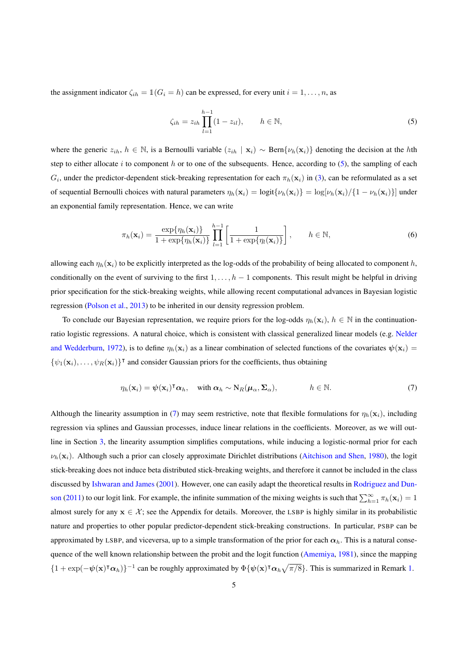the assignment indicator  $\zeta_{ih} = \mathbb{1}(G_i = h)$  can be expressed, for every unit  $i = 1, \ldots, n$ , as

<span id="page-4-0"></span>
$$
\zeta_{ih} = z_{ih} \prod_{l=1}^{h-1} (1 - z_{il}), \qquad h \in \mathbb{N}, \tag{5}
$$

where the generic  $z_{ih}$ ,  $h \in \mathbb{N}$ , is a Bernoulli variable  $(z_{ih} | x_i) \sim \text{Bern}\{\nu_h(x_i)\}\$  denoting the decision at the hth step to either allocate  $i$  to component  $h$  or to one of the subsequents. Hence, according to  $(5)$ , the sampling of each  $G_i$ , under the predictor-dependent stick-breaking representation for each  $\pi_h(\mathbf{x}_i)$  in [\(3\)](#page-2-2), can be reformulated as a set of sequential Bernoulli choices with natural parameters  $\eta_h(\mathbf{x}_i) = \text{log}[v_h(\mathbf{x}_i)] = \text{log}[v_h(\mathbf{x}_i)/\{1 - v_h(\mathbf{x}_i)\}]$  under an exponential family representation. Hence, we can write

<span id="page-4-3"></span>
$$
\pi_h(\mathbf{x}_i) = \frac{\exp\{\eta_h(\mathbf{x}_i)\}}{1 + \exp\{\eta_h(\mathbf{x}_i)\}} \prod_{l=1}^{h-1} \left[ \frac{1}{1 + \exp\{\eta_l(\mathbf{x}_i)\}} \right], \qquad h \in \mathbb{N},
$$
\n(6)

allowing each  $\eta_h(\mathbf{x}_i)$  to be explicitly interpreted as the log-odds of the probability of being allocated to component h, conditionally on the event of surviving to the first  $1, \ldots, h-1$  components. This result might be helpful in driving prior specification for the stick-breaking weights, while allowing recent computational advances in Bayesian logistic regression [\(Polson et al.,](#page-17-8) [2013\)](#page-17-8) to be inherited in our density regression problem.

To conclude our Bayesian representation, we require priors for the log-odds  $\eta_h(\mathbf{x}_i)$ ,  $h \in \mathbb{N}$  in the continuationratio logistic regressions. A natural choice, which is consistent with classical generalized linear models (e.g. [Nelder](#page-17-12) [and Wedderburn,](#page-17-12) [1972\)](#page-17-12), is to define  $\eta_h(\mathbf{x}_i)$  as a linear combination of selected functions of the covariates  $\psi(\mathbf{x}_i)$  =  $\{\psi_1(\mathbf{x}_i), \dots, \psi_R(\mathbf{x}_i)\}^{\dagger}$  and consider Gaussian priors for the coefficients, thus obtaining

<span id="page-4-1"></span>
$$
\eta_h(\mathbf{x}_i) = \psi(\mathbf{x}_i)^{\mathsf{T}} \alpha_h, \quad \text{with } \alpha_h \sim \mathrm{N}_R(\boldsymbol{\mu}_\alpha, \boldsymbol{\Sigma}_\alpha), \qquad h \in \mathbb{N}.
$$
 (7)

<span id="page-4-2"></span>Although the linearity assumption in [\(7\)](#page-4-1) may seem restrictive, note that flexible formulations for  $\eta_h(\mathbf{x}_i)$ , including regression via splines and Gaussian processes, induce linear relations in the coefficients. Moreover, as we will outline in Section [3,](#page-5-0) the linearity assumption simplifies computations, while inducing a logistic-normal prior for each  $\nu_h(\mathbf{x}_i)$ . Although such a prior can closely approximate Dirichlet distributions [\(Aitchison and Shen,](#page-16-15) [1980\)](#page-16-15), the logit stick-breaking does not induce beta distributed stick-breaking weights, and therefore it cannot be included in the class discussed by [Ishwaran and James](#page-16-3) [\(2001\)](#page-16-3). However, one can easily adapt the theoretical results in [Rodriguez and Dun](#page-17-6)[son](#page-17-6) [\(2011\)](#page-17-6) to our logit link. For example, the infinite summation of the mixing weights is such that  $\sum_{h=1}^{\infty} \pi_h(\mathbf{x}_i) = 1$ almost surely for any  $x \in \mathcal{X}$ ; see the Appendix for details. Moreover, the LSBP is highly similar in its probabilistic nature and properties to other popular predictor-dependent stick-breaking constructions. In particular, PSBP can be approximated by LSBP, and viceversa, up to a simple transformation of the prior for each  $\alpha_h$ . This is a natural conse-quence of the well known relationship between the probit and the logit function [\(Amemiya,](#page-16-16) [1981\)](#page-16-16), since the mapping  ${1 + \exp(-\psi(x)^\intercal \alpha_h)}^{-1}$  can be roughly approximated by  $\Phi\{\psi(x)^\intercal \alpha_h \sqrt{\pi/8}\}\.$  This is summarized in Remark [1.](#page-4-2)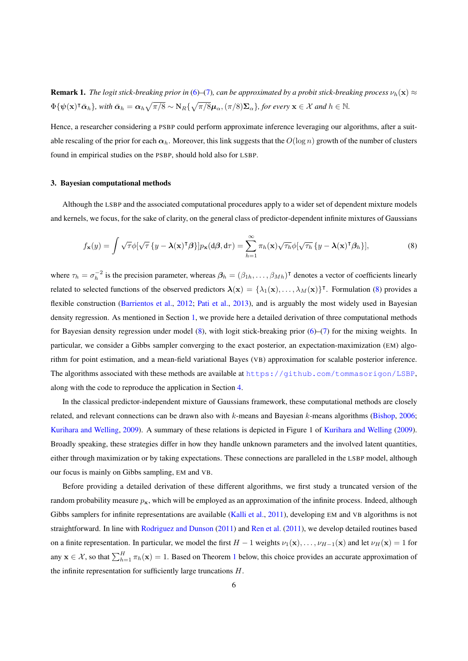**Remark 1.** *The logit stick-breaking prior in* [\(6\)](#page-4-3)–[\(7\)](#page-4-1), can be approximated by a probit stick-breaking process  $v_h(\mathbf{x}) \approx$  $\Phi\{\psi(\mathbf{x})^\intercal \bar{\boldsymbol{\alpha}}_h\}$ , with  $\bar{\boldsymbol{\alpha}}_h = \boldsymbol{\alpha}_h \sqrt{\pi/8} \sim N_R \{\sqrt{\pi/8} \boldsymbol{\mu}_\alpha, (\pi/8) \boldsymbol{\Sigma}_\alpha\}$ , for every  $\mathbf{x} \in \mathcal{X}$  and  $h \in \mathbb{N}$ .

Hence, a researcher considering a PSBP could perform approximate inference leveraging our algorithms, after a suitable rescaling of the prior for each  $\alpha_h$ . Moreover, this link suggests that the  $O(\log n)$  growth of the number of clusters found in empirical studies on the PSBP, should hold also for LSBP.

### <span id="page-5-0"></span>3. Bayesian computational methods

Although the LSBP and the associated computational procedures apply to a wider set of dependent mixture models and kernels, we focus, for the sake of clarity, on the general class of predictor-dependent infinite mixtures of Gaussians

<span id="page-5-1"></span>
$$
f_{\mathbf{x}}(y) = \int \sqrt{\tau} \phi[\sqrt{\tau} \{y - \lambda(\mathbf{x})^{\mathsf{T}} \beta\}] p_{\mathbf{x}}(d\beta, d\tau) = \sum_{h=1}^{\infty} \pi_h(\mathbf{x}) \sqrt{\tau_h} \phi[\sqrt{\tau_h} \{y - \lambda(\mathbf{x})^{\mathsf{T}} \beta_h\}], \tag{8}
$$

where  $\tau_h = \sigma_h^{-2}$  is the precision parameter, whereas  $\beta_h = (\beta_{1h}, \dots, \beta_{Mh})^T$  denotes a vector of coefficients linearly related to selected functions of the observed predictors  $\lambda(x) = \{\lambda_1(x), \ldots, \lambda_M(x)\}^{\dagger}$ . Formulation [\(8\)](#page-5-1) provides a flexible construction [\(Barrientos et al.,](#page-16-17) [2012;](#page-16-17) [Pati et al.,](#page-17-13) [2013\)](#page-17-13), and is arguably the most widely used in Bayesian density regression. As mentioned in Section [1,](#page-0-0) we provide here a detailed derivation of three computational methods for Bayesian density regression under model  $(8)$ , with logit stick-breaking prior  $(6)$ – $(7)$  for the mixing weights. In particular, we consider a Gibbs sampler converging to the exact posterior, an expectation-maximization (EM) algorithm for point estimation, and a mean-field variational Bayes (VB) approximation for scalable posterior inference. The algorithms associated with these methods are available at <https://github.com/tommasorigon/LSBP>, along with the code to reproduce the application in Section [4.](#page-12-0)

In the classical predictor-independent mixture of Gaussians framework, these computational methods are closely related, and relevant connections can be drawn also with  $k$ -means and Bayesian  $k$ -means algorithms [\(Bishop,](#page-16-18) [2006;](#page-16-18) [Kurihara and Welling,](#page-17-14) [2009\)](#page-17-14). A summary of these relations is depicted in Figure 1 of [Kurihara and Welling](#page-17-14) [\(2009\)](#page-17-14). Broadly speaking, these strategies differ in how they handle unknown parameters and the involved latent quantities, either through maximization or by taking expectations. These connections are paralleled in the LSBP model, although our focus is mainly on Gibbs sampling, EM and VB.

<span id="page-5-2"></span>Before providing a detailed derivation of these different algorithms, we first study a truncated version of the random probability measure  $p_x$ , which will be employed as an approximation of the infinite process. Indeed, although Gibbs samplers for infinite representations are available [\(Kalli et al.,](#page-17-15) [2011\)](#page-17-15), developing EM and VB algorithms is not straightforward. In line with [Rodriguez and Dunson](#page-17-6) [\(2011\)](#page-17-6) and [Ren et al.](#page-17-10) [\(2011\)](#page-17-10), we develop detailed routines based on a finite representation. In particular, we model the first  $H - 1$  weights  $\nu_1(\mathbf{x}), \dots, \nu_{H-1}(\mathbf{x})$  and let  $\nu_H(\mathbf{x}) = 1$  for any  $\mathbf{x} \in \mathcal{X}$ , so that  $\sum_{h=1}^{H} \pi_h(\mathbf{x}) = 1$  $\sum_{h=1}^{H} \pi_h(\mathbf{x}) = 1$  $\sum_{h=1}^{H} \pi_h(\mathbf{x}) = 1$ . Based on Theorem 1 below, this choice provides an accurate approximation of the infinite representation for sufficiently large truncations  $H$ .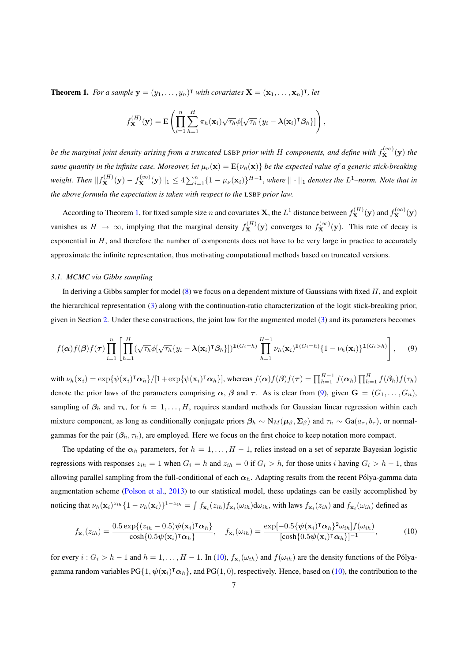**Theorem 1.** For a sample  $\mathbf{y} = (y_1, \dots, y_n)^\mathsf{T}$  with covariates  $\mathbf{X} = (\mathbf{x}_1, \dots, \mathbf{x}_n)^\mathsf{T}$ , let

$$
f_{\mathbf{X}}^{(H)}(\mathbf{y}) = \mathrm{E}\left(\prod_{i=1}^{n} \sum_{h=1}^{H} \pi_h(\mathbf{x}_i) \sqrt{\tau_h} \phi[\sqrt{\tau_h} \{y_i - \boldsymbol{\lambda}(\mathbf{x}_i)^{\mathsf{T}} \boldsymbol{\beta}_h\}]\right),
$$

*be the marginal joint density arising from a truncated LSBP prior with H components, and define with*  $f_{\bf X}^{(\infty)}({\bf y})$  the *same quantity in the infinite case. Moreover, let*  $\mu_{\nu}(\mathbf{x}) = E\{\nu_h(\mathbf{x})\}$  *be the expected value of a generic stick-breaking* weight. Then  $||f_{\mathbf{X}}^{(H)}(\mathbf{y}) - f_{\mathbf{X}}^{(\infty)}(\mathbf{y})||_1 \leq 4 \sum_{i=1}^n \{1 - \mu_{\nu}(\mathbf{x}_i)\}^{H-1}$ , where  $||\cdot||_1$  denotes the  $L^1$ -norm. Note that in *the above formula the expectation is taken with respect to the* LSBP *prior law.*

According to Theorem [1,](#page-5-2) for fixed sample size *n* and covariates **X**, the  $L^1$  distance between  $f_{\mathbf{X}}^{(H)}(\mathbf{y})$  and  $f_{\mathbf{X}}^{(\infty)}(\mathbf{y})$ vanishes as  $H \to \infty$ , implying that the marginal density  $f_{\mathbf{X}}^{(H)}(\mathbf{y})$  converges to  $f_{\mathbf{X}}^{(\infty)}(\mathbf{y})$ . This rate of decay is exponential in  $H$ , and therefore the number of components does not have to be very large in practice to accurately approximate the infinite representation, thus motivating computational methods based on truncated versions.

#### <span id="page-6-2"></span>*3.1. MCMC via Gibbs sampling*

In deriving a Gibbs sampler for model  $(8)$  we focus on a dependent mixture of Gaussians with fixed  $H$ , and exploit the hierarchical representation [\(3\)](#page-2-2) along with the continuation-ratio characterization of the logit stick-breaking prior, given in Section [2.](#page-2-0) Under these constructions, the joint law for the augmented model [\(3\)](#page-2-2) and its parameters becomes

<span id="page-6-0"></span>
$$
f(\boldsymbol{\alpha})f(\boldsymbol{\beta})f(\boldsymbol{\tau})\prod_{i=1}^{n}\left[\prod_{h=1}^{H}(\sqrt{\tau_{h}}\phi[\sqrt{\tau_{h}}\{y_{i}-\boldsymbol{\lambda}(\mathbf{x}_{i})^{\intercal}\boldsymbol{\beta}_{h}\}])^{1(G_{i}=h)}\prod_{h=1}^{H-1}\nu_{h}(\mathbf{x}_{i})^{1(G_{i}=h)}\{1-\nu_{h}(\mathbf{x}_{i})\}^{1(G_{i}>h)}\right],\qquad(9)
$$

with  $\nu_h(\mathbf{x}_i) = \exp{\{\psi(\mathbf{x}_i)^\intercal \boldsymbol{\alpha}_h\}}/[1 + \exp{\{\psi(\mathbf{x}_i)^\intercal \boldsymbol{\alpha}_h\}}]$ , whereas  $f(\boldsymbol{\alpha})f(\boldsymbol{\beta})f(\boldsymbol{\tau}) = \prod_{h=1}^{H-1} f(\boldsymbol{\alpha}_h) \prod_{h=1}^H f(\boldsymbol{\beta}_h) f(\tau_h)$ denote the prior laws of the parameters comprising  $\alpha$ ,  $\beta$  and  $\tau$ . As is clear from [\(9\)](#page-6-0), given  $G = (G_1, \ldots, G_n)$ , sampling of  $\beta_h$  and  $\tau_h$ , for  $h = 1, \ldots, H$ , requires standard methods for Gaussian linear regression within each mixture component, as long as conditionally conjugate priors  $\beta_h \sim N_M(\mu_\beta, \Sigma_\beta)$  and  $\tau_h \sim Ga(a_\tau, b_\tau)$ , or normalgammas for the pair  $(\beta_h, \tau_h)$ , are employed. Here we focus on the first choice to keep notation more compact.

The updating of the  $\alpha_h$  parameters, for  $h = 1, \ldots, H - 1$ , relies instead on a set of separate Bayesian logistic regressions with responses  $z_{ih} = 1$  when  $G_i = h$  and  $z_{ih} = 0$  if  $G_i > h$ , for those units i having  $G_i > h - 1$ , thus allowing parallel sampling from the full-conditional of each  $\alpha_h$ . Adapting results from the recent Pólya-gamma data augmentation scheme [\(Polson et al.,](#page-17-8) [2013\)](#page-17-8) to our statistical model, these updatings can be easily accomplished by noticing that  $\nu_h(\mathbf{x}_i)^{z_{ih}}\{1-\nu_h(\mathbf{x}_i)\}^{1-z_{ih}}=\int f_{\mathbf{x}_i}(z_{ih})f_{\mathbf{x}_i}(\omega_{ih})d\omega_{ih}$ , with laws  $f_{\mathbf{x}_i}(z_{ih})$  and  $f_{\mathbf{x}_i}(\omega_{ih})$  defined as

<span id="page-6-1"></span>
$$
f_{\mathbf{x}_i}(z_{ih}) = \frac{0.5 \exp\{(z_{ih} - 0.5)\psi(\mathbf{x}_i)^{\mathsf{T}}\alpha_h\}}{\cosh\{0.5\psi(\mathbf{x}_i)^{\mathsf{T}}\alpha_h\}}, \quad f_{\mathbf{x}_i}(\omega_{ih}) = \frac{\exp[-0.5\{\psi(\mathbf{x}_i)^{\mathsf{T}}\alpha_h\}^2\omega_{ih}]f(\omega_{ih})}{[\cosh\{0.5\psi(\mathbf{x}_i)^{\mathsf{T}}\alpha_h\}]^{-1}},
$$
(10)

for every  $i: G_i > h-1$  and  $h = 1, \ldots, H-1$ . In [\(10\)](#page-6-1),  $f_{\mathbf{x}_i}(\omega_{ih})$  and  $f(\omega_{ih})$  are the density functions of the Pólyagamma random variables  $PG{1, \psi(x_i)^\intercal \alpha_h}$ , and  $PG(1, 0)$ , respectively. Hence, based on [\(10\)](#page-6-1), the contribution to the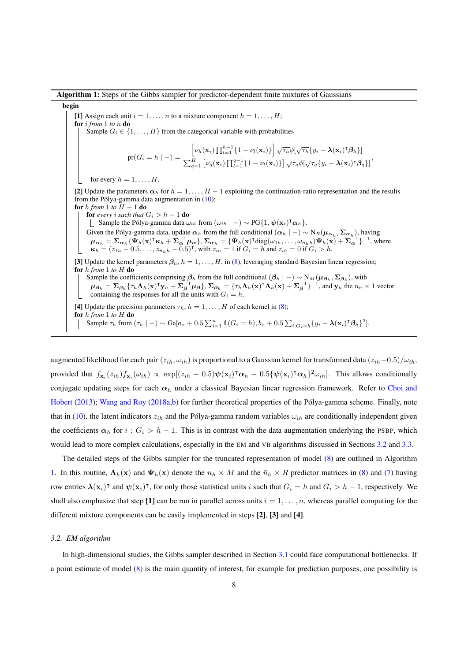<span id="page-7-1"></span>Algorithm 1: Steps of the Gibbs sampler for predictor-dependent finite mixtures of Gaussians begin [1] Assign each unit  $i = 1, \ldots, n$  to a mixture component  $h = 1, \ldots, H$ ; for i *from* 1 *to* n do Sample  $G_i \in \{1, \ldots, H\}$  from the categorical variable with probabilities  $pr(G_i = h \mid -) =$  $\left[\nu_h(\mathbf{x}_i) \prod_{l=1}^{h-1} \{1 - \nu_l(\mathbf{x}_i)\}\right] \sqrt{\tau_h} \phi \left[\sqrt{\tau_h} \{y_i - \lambda(\mathbf{x}_i)^\intercal \boldsymbol{\beta}_h\}\right]$  $\frac{1}{\sum_{q=1}^H \left[\nu_q(\mathbf{x}_i) \prod_{l=1}^{q-1} \{1-\nu_l(\mathbf{x}_i)\}\right] \sqrt{\tau_q} \phi[\sqrt{\tau_q} \{y_i-\boldsymbol{\lambda}(\mathbf{x}_i)^{\intercal} \boldsymbol{\beta}_q\}]},$ for every  $h = 1, \ldots, H$ . [2] Update the parameters  $\alpha_h$  for  $h = 1, \ldots, H-1$  exploiting the continuation-ratio representation and the results from the Pólya-gamma data augmentation in  $(10)$  $(10)$ ; for  $h$  *from* 1 *to*  $H - 1$  do **for** every *i* such that  $G_i > h - 1$  **do** Sample the Pólya-gamma data  $\omega_{ih}$  from  $(\omega_{ih} \mid -) \sim PG\{1, \psi(\mathbf{x}_i)^\mathsf{T} \boldsymbol{\alpha}_h\}.$ Given the Pólya-gamma data, update  $\alpha_h$  from the full conditional  $(\alpha_h \mid -) \sim N_R(\mu_{\alpha_h}, \Sigma_{\alpha_h})$ , having  $\mu_{\alpha_h} = \sum_{\alpha_h} {\{\Psi_h({\bf x})^{\intercal} \kappa_h + \Sigma_{\alpha}^{-1}\mu_{\alpha}\}}$ ,  $\Sigma_{\alpha_h} = {\{\Psi_h({\bf x})^{\intercal} \text{diag}(\omega_{1h}, \dots, \omega_{\bar{n}_h h}) \Psi_h({\bf x}) + \Sigma_{\alpha}^{-1}\}^{-1}}$ , where  $\kappa_h = (z_{1h} - 0.5, \ldots, z_{\bar{n}_h h} - 0.5)^{\mathsf{T}}$ , with  $z_{ih} = 1$  if  $G_i = h$  and  $z_{ih} = 0$  if  $G_i > h$ . [3] Update the kernel parameters  $\beta_h$ ,  $h = 1, \ldots, H$ , in [\(8\)](#page-5-1), leveraging standard Bayesian linear regression; for h *from* 1 *to* H do Sample the coefficients comprising  $\beta_h$  from the full conditional  $(\beta_h \mid -) \sim N_M(\mu_{\beta_h}, \Sigma_{\beta_h})$ , with  $\mu_{\beta_h} = \sum_{\beta_h} {\tau_h \Lambda_h(\mathbf{x})^\intercal \mathbf{y}_h + \Sigma_\beta^{-1} \mu_\beta}, \sum_{\beta_h} = {\tau_h \Lambda_h(\mathbf{x})^\intercal \Lambda_h(\mathbf{x}) + \Sigma_\beta^{-1}}^{-1}$ , and  $\mathbf{y}_h$  the  $n_h \times 1$  vector containing the responses for all the units with  $G_i = h$ . [4] Update the precision parameters  $\tau_h$ ,  $h = 1, \ldots, H$  of each kernel in [\(8\)](#page-5-1); for h *from* 1 *to* H do Sample  $\tau_h$  from  $(\tau_h \mid -) \sim \text{Ga}[a_\tau + 0.5 \sum_{i=1}^n \mathbb{1}(G_i = h), b_\tau + 0.5 \sum_{i: G_i = h} \{y_i - \lambda(\mathbf{x}_i)^{\intercal} \boldsymbol{\beta}_h\}^2]$ .

augmented likelihood for each pair  $(z_{ih}, \omega_{ih})$  is proportional to a Gaussian kernel for transformed data  $(z_{ih}-0.5)/\omega_{ih}$ , provided that  $f_{\mathbf{x}_i}(z_{ih})f_{\mathbf{x}_i}(\omega_{ih}) \propto \exp[(z_{ih} - 0.5)\psi(\mathbf{x}_i)^{\mathsf{T}}\alpha_h - 0.5\{\psi(\mathbf{x}_i)^{\mathsf{T}}\alpha_h\}^2\omega_{ih}].$  This allows conditionally conjugate updating steps for each  $\alpha_h$  under a classical Bayesian linear regression framework. Refer to [Choi and](#page-16-19) [Hobert](#page-16-19) [\(2013\)](#page-16-19); [Wang and Roy](#page-17-16) [\(2018a](#page-17-16)[,b\)](#page-17-17) for further theoretical properties of the Pólya-gamma scheme. Finally, note that in [\(10\)](#page-6-1), the latent indicators  $z_{ih}$  and the Pólya-gamma random variables  $\omega_{ih}$  are conditionally independent given the coefficients  $\alpha_h$  for  $i : G_i > h - 1$ . This is in contrast with the data augmentation underlying the PSBP, which would lead to more complex calculations, especially in the EM and VB algorithms discussed in Sections [3.2](#page-7-0) and [3.3.](#page-9-0)

The detailed steps of the Gibbs sampler for the truncated representation of model [\(8\)](#page-5-1) are outlined in Algorithm [1.](#page-7-1) In this routine,  $\Lambda_h(\mathbf{x})$  and  $\Psi_h(\mathbf{x})$  denote the  $n_h \times M$  and the  $\bar{n}_h \times R$  predictor matrices in [\(8\)](#page-5-1) and [\(7\)](#page-4-1) having row entries  $\lambda(\mathbf{x}_i)^\intercal$  and  $\psi(\mathbf{x}_i)^\intercal$ , for only those statistical units i such that  $G_i = h$  and  $G_i > h - 1$ , respectively. We shall also emphasize that step [1] can be run in parallel across units  $i = 1, \ldots, n$ , whereas parallel computing for the different mixture components can be easily implemented in steps [2], [3] and [4].

# <span id="page-7-0"></span>*3.2. EM algorithm*

In high-dimensional studies, the Gibbs sampler described in Section [3.1](#page-6-2) could face computational bottlenecks. If a point estimate of model [\(8\)](#page-5-1) is the main quantity of interest, for example for prediction purposes, one possibility is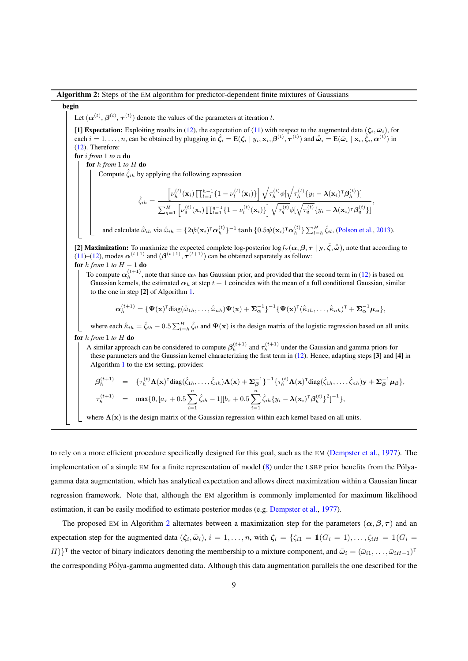Algorithm 2: Steps of the EM algorithm for predictor-dependent finite mixtures of Gaussians

# <span id="page-8-0"></span>begin

Let  $(\boldsymbol{\alpha}^{(t)},\boldsymbol{\beta}^{(t)},\boldsymbol{\tau}^{(t)})$  denote the values of the parameters at iteration t.

[1] Expectation: Exploiting results in [\(12\)](#page-9-1), the expectation of [\(11\)](#page-9-2) with respect to the augmented data  $(\zeta_i, \bar{\omega}_i)$ , for each  $i = 1, \ldots, n$ , can be obtained by plugging in  $\hat{\zeta}_i = E(\zeta_i | y_i, x_i, \beta^{(t)}, \tau^{(t)})$  and  $\hat{\omega}_i = E(\bar{\omega}_i | x_i, \hat{\zeta}_i, \alpha^{(t)})$  in [\(12\)](#page-9-1). Therefore:

for i *from* 1 *to* n do

for h *from* 1 *to* H do

Compute  $\zeta_{ih}$  by applying the following expression

$$
\hat{\zeta}_{ih} = \frac{\left[\nu_h^{(t)}(\mathbf{x}_i) \prod_{l=1}^{h-1} \{1 - \nu_l^{(t)}(\mathbf{x}_i)\}\right] \sqrt{\tau_h^{(t)}} \phi[\sqrt{\tau_h^{(t)}} \{y_i - \lambda(\mathbf{x}_i)^{\mathsf{T}} \beta_h^{(t)}\}]}{\sum_{q=1}^H \left[\nu_q^{(t)}(\mathbf{x}_i) \prod_{l=1}^{q-1} \{1 - \nu_l^{(t)}(\mathbf{x}_i)\}\right] \sqrt{\tau_q^{(t)}} \phi[\sqrt{\tau_q^{(t)}} \{y_i - \lambda(\mathbf{x}_i)^{\mathsf{T}} \beta_q^{(t)}\}]},
$$

and calculate  $\hat{\omega}_{ih}$  via  $\hat{\omega}_{ih} = \{2\psi(\mathbf{x}_i)^{\mathsf{T}}\boldsymbol{\alpha}_h^{(t)}\}^{-1}$  tanh  $\{0.5\psi(\mathbf{x}_i)^{\mathsf{T}}\boldsymbol{\alpha}_h^{(t)}\} \sum_{l=h}^{H} \hat{\zeta}_{il}$ , [\(Polson et al.,](#page-17-8) [2013\)](#page-17-8).

[2] Maximization: To maximize the expected complete log-posterior log  $f_x(\alpha, \beta, \tau | y, \hat{\zeta}, \hat{\omega})$ , note that according to [\(11\)](#page-9-2)–[\(12\)](#page-9-1), modes  $\alpha^{(t+1)}$  and  $(\beta^{(t+1)}, \tau^{(t+1)})$  can be obtained separately as follow: for  $h$  *from* 1 *to*  $H - 1$  do

To compute  $\alpha_h^{(t+1)}$ , note that since  $\alpha_h$  has Gaussian prior, and provided that the second term in [\(12\)](#page-9-1) is based on Gaussian kernels, the estimated  $\alpha_h$  at step  $t + 1$  coincides with the mean of a full conditional Gaussian, similar to the one in step [2] of Algorithm [1.](#page-7-1)

$$
\boldsymbol{\alpha}_h^{(t+1)} = \{\boldsymbol{\Psi}(\mathbf{x})^{\mathsf{T}}\mathrm{diag}(\hat{\bar{\omega}}_{1h},\ldots,\hat{\bar{\omega}}_{nh})\boldsymbol{\Psi}(\mathbf{x}) + \boldsymbol{\Sigma}_{\boldsymbol{\alpha}}^{-1}\}^{-1}\{\boldsymbol{\Psi}(\mathbf{x})^{\mathsf{T}}(\hat{\bar{\kappa}}_{1h},\ldots,\hat{\bar{\kappa}}_{nh})^{\mathsf{T}} + \boldsymbol{\Sigma}_{\boldsymbol{\alpha}}^{-1}\boldsymbol{\mu}_{\boldsymbol{\alpha}}\},
$$

where each  $\hat{\kappa}_{ih} = \hat{\zeta}_{ih} - 0.5 \sum_{l=h}^{H} \hat{\zeta}_{il}$  and  $\Psi(\mathbf{x})$  is the design matrix of the logistic regression based on all units. for h *from* 1 *to* H do

A similar approach can be considered to compute  $\beta_h^{(t+1)}$  and  $\tau_h^{(t+1)}$  under the Gaussian and gamma priors for these parameters and the Gaussian kernel characterizing the first term in [\(12\)](#page-9-1). Hence, adapting steps [3] and [4] in Algorithm [1](#page-7-1) to the EM setting, provides:

$$
\begin{array}{rcl}\n\beta_h^{(t+1)} & = & \{\tau_h^{(t)} \mathbf{\Lambda}(\mathbf{x})^\mathsf{T} \text{diag}(\hat{\zeta}_{1h}, \dots, \hat{\zeta}_{nh}) \mathbf{\Lambda}(\mathbf{x}) + \mathbf{\Sigma}_{\beta}^{-1} \}^{-1} \{\tau_h^{(t)} \mathbf{\Lambda}(\mathbf{x})^\mathsf{T} \text{diag}(\hat{\zeta}_{1h}, \dots, \hat{\zeta}_{nh}) \mathbf{y} + \mathbf{\Sigma}_{\beta}^{-1} \boldsymbol{\mu}_{\beta} \}, \\
\tau_h^{(t+1)} & = & \max \{0, [a_\tau + 0.5 \sum_{i=1}^n \hat{\zeta}_{ih} - 1][b_\tau + 0.5 \sum_{i=1}^n \hat{\zeta}_{ih} \{y_i - \mathbf{\lambda}(\mathbf{x}_i)^\mathsf{T} \boldsymbol{\beta}_h^{(t)} \}^2]^{-1} \},\n\end{array}
$$

where  $\Lambda(x)$  is the design matrix of the Gaussian regression within each kernel based on all units.

to rely on a more efficient procedure specifically designed for this goal, such as the EM [\(Dempster et al.,](#page-16-20) [1977\)](#page-16-20). The implementation of a simple EM for a finite representation of model  $(8)$  under the LSBP prior benefits from the Pólyagamma data augmentation, which has analytical expectation and allows direct maximization within a Gaussian linear regression framework. Note that, although the EM algorithm is commonly implemented for maximum likelihood estimation, it can be easily modified to estimate posterior modes (e.g. [Dempster et al.,](#page-16-20) [1977\)](#page-16-20).

The proposed EM in Algorithm [2](#page-8-0) alternates between a maximization step for the parameters  $(\alpha, \beta, \tau)$  and an expectation step for the augmented data  $(\zeta_i, \bar{\omega}_i), i = 1, \ldots, n$ , with  $\zeta_i = \{ \zeta_{i1} = \mathbb{1}(G_i = 1), \ldots, \zeta_{iH} = \mathbb{1}(G_i = 1) \}$  $H$ }<sup>T</sup> the vector of binary indicators denoting the membership to a mixture component, and  $\bar{\omega}_i = (\bar{\omega}_{i1}, \dots, \bar{\omega}_{iH-1})^T$ the corresponding Polya-gamma augmented data. Although this data augmentation parallels the one described for the ´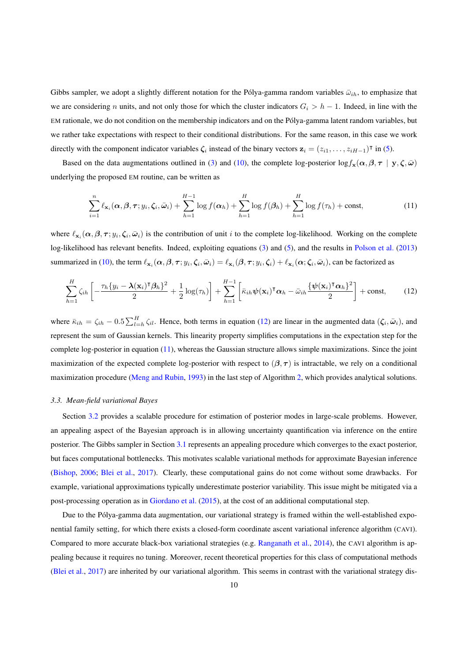Gibbs sampler, we adopt a slightly different notation for the Pólya-gamma random variables  $\bar{\omega}_{ih}$ , to emphasize that we are considering n units, and not only those for which the cluster indicators  $G_i > h - 1$ . Indeed, in line with the EM rationale, we do not condition on the membership indicators and on the Polya-gamma latent random variables, but ´ we rather take expectations with respect to their conditional distributions. For the same reason, in this case we work directly with the component indicator variables  $\zeta_i$  instead of the binary vectors  $\mathbf{z}_i = (z_{i1}, \dots, z_{iH-1})^\intercal$  in [\(5\)](#page-4-0).

Based on the data augmentations outlined in [\(3\)](#page-2-2) and [\(10\)](#page-6-1), the complete log-posterior  $\log f_{\mathbf{x}}(\alpha, \beta, \tau | \mathbf{y}, \zeta, \bar{\omega})$ underlying the proposed EM routine, can be written as

<span id="page-9-2"></span>
$$
\sum_{i=1}^{n} \ell_{\mathbf{x}_i}(\boldsymbol{\alpha}, \boldsymbol{\beta}, \boldsymbol{\tau}; y_i, \boldsymbol{\zeta}_i, \bar{\boldsymbol{\omega}}_i) + \sum_{h=1}^{H-1} \log f(\boldsymbol{\alpha}_h) + \sum_{h=1}^{H} \log f(\boldsymbol{\beta}_h) + \sum_{h=1}^{H} \log f(\tau_h) + \text{const},\tag{11}
$$

where  $\ell_{\mathbf{x}_i}(\alpha, \beta, \tau; y_i, \zeta_i, \bar{\omega}_i)$  is the contribution of unit i to the complete log-likelihood. Working on the complete log-likelihood has relevant benefits. Indeed, exploiting equations [\(3\)](#page-2-2) and [\(5\)](#page-4-0), and the results in [Polson et al.](#page-17-8) [\(2013\)](#page-17-8) summarized in [\(10\)](#page-6-1), the term  $\ell_{\mathbf{x}_i}(\alpha, \beta, \tau; y_i, \zeta_i, \bar{\omega}_i) = \ell_{\mathbf{x}_i}(\beta, \tau; y_i, \zeta_i) + \ell_{\mathbf{x}_i}(\alpha; \zeta_i, \bar{\omega}_i)$ , can be factorized as

<span id="page-9-1"></span>
$$
\sum_{h=1}^{H} \zeta_{ih} \left[ -\frac{\tau_h \{y_i - \lambda(\mathbf{x}_i)^{\mathsf{T}} \boldsymbol{\beta}_h\}^2}{2} + \frac{1}{2} \log(\tau_h) \right] + \sum_{h=1}^{H-1} \left[ \bar{\kappa}_{ih} \boldsymbol{\psi}(\mathbf{x}_i)^{\mathsf{T}} \boldsymbol{\alpha}_h - \bar{\omega}_{ih} \frac{\{\boldsymbol{\psi}(\mathbf{x}_i)^{\mathsf{T}} \boldsymbol{\alpha}_h\}^2}{2} \right] + \text{const}, \tag{12}
$$

where  $\bar{\kappa}_{ih} = \zeta_{ih} - 0.5 \sum_{l=h}^{H} \zeta_{il}$ . Hence, both terms in equation [\(12\)](#page-9-1) are linear in the augmented data  $(\zeta_i, \bar{\omega}_i)$ , and represent the sum of Gaussian kernels. This linearity property simplifies computations in the expectation step for the complete log-posterior in equation [\(11\)](#page-9-2), whereas the Gaussian structure allows simple maximizations. Since the joint maximization of the expected complete log-posterior with respect to  $(\beta, \tau)$  is intractable, we rely on a conditional maximization procedure [\(Meng and Rubin,](#page-17-18) [1993\)](#page-17-18) in the last step of Algorithm [2,](#page-8-0) which provides analytical solutions.

# <span id="page-9-0"></span>*3.3. Mean-field variational Bayes*

Section [3.2](#page-7-0) provides a scalable procedure for estimation of posterior modes in large-scale problems. However, an appealing aspect of the Bayesian approach is in allowing uncertainty quantification via inference on the entire posterior. The Gibbs sampler in Section [3.1](#page-6-2) represents an appealing procedure which converges to the exact posterior, but faces computational bottlenecks. This motivates scalable variational methods for approximate Bayesian inference [\(Bishop,](#page-16-18) [2006;](#page-16-18) [Blei et al.,](#page-16-21) [2017\)](#page-16-21). Clearly, these computational gains do not come without some drawbacks. For example, variational approximations typically underestimate posterior variability. This issue might be mitigated via a post-processing operation as in [Giordano et al.](#page-16-22) [\(2015\)](#page-16-22), at the cost of an additional computational step.

Due to the Pólya-gamma data augmentation, our variational strategy is framed within the well-established exponential family setting, for which there exists a closed-form coordinate ascent variational inference algorithm (CAVI). Compared to more accurate black-box variational strategies (e.g. [Ranganath et al.,](#page-17-19) [2014\)](#page-17-19), the CAVI algorithm is appealing because it requires no tuning. Moreover, recent theoretical properties for this class of computational methods [\(Blei et al.,](#page-16-21) [2017\)](#page-16-21) are inherited by our variational algorithm. This seems in contrast with the variational strategy dis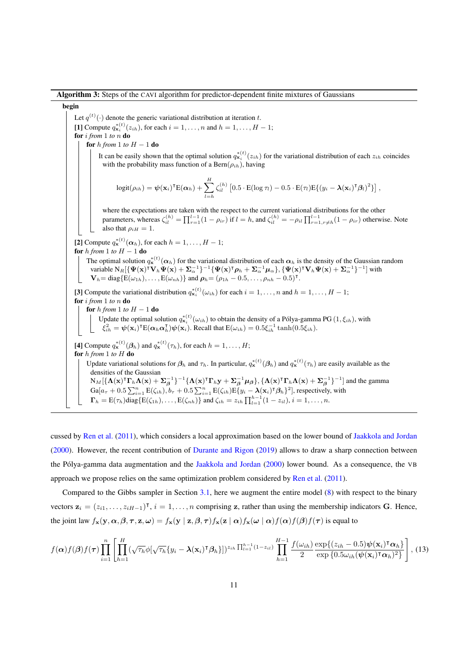Algorithm 3: Steps of the CAVI algorithm for predictor-dependent finite mixtures of Gaussians

# <span id="page-10-1"></span>begin

Let  $q^{(t)}(\cdot)$  denote the generic variational distribution at iteration t. [1] Compute  $q_{\mathbf{x}_i}^{*(t)}(z_{ih})$ , for each  $i = 1, \ldots, n$  and  $h = 1, \ldots, H - 1$ ; for i *from* 1 *to* n do for h from 1 to  $H - 1$  do It can be easily shown that the optimal solution  $q_{x_i}^{*(t)}(z_{ih})$  for the variational distribution of each  $z_{ih}$  coincides with the probability mass function of a Bern $(\rho_{ih})$ , having  $logit(\rho_{ih}) = \psi(\mathbf{x}_i)^{\intercal} E(\boldsymbol{\alpha}_h) + \sum_{i=1}^{H}$  $_{l=h}$  $\zeta_{il}^{(h)}\left[0.5\cdot\text{E}(\log\tau_l)-0.5\cdot\text{E}(\tau_l)\text{E}\{(y_i-\lambda(\mathbf{x}_i)^{\intercal}\boldsymbol{\beta}_l)^2\}\right],$ where the expectations are taken with the respect to the current variational distributions for the other parameters, whereas  $\zeta_{il}^{(h)} = \prod_{r=1}^{l-1} (1 - \rho_{ir})$  if  $l = h$ , and  $\zeta_{il}^{(h)} = -\rho_{il} \prod_{r=1, r \neq h}^{l-1} (1 - \rho_{ir})$  otherwise. Note also that  $\rho_{iH} = 1$ . [2] Compute  $q_{\mathbf{x}}^{*(t)}(\boldsymbol{\alpha}_h)$ , for each  $h = 1, \ldots, H - 1$ ; for  $h$  *from* 1 *to*  $H - 1$  do The optimal solution  $q_{\mathbf{x}}^{*(t)}(\alpha_h)$  for the variational distribution of each  $\alpha_h$  is the density of the Gaussian random variable  $N_R[\{\Psi(\mathbf{x})^\dagger \mathbf{V}_h \Psi(\mathbf{x}) + \Sigma_\alpha^{-1}\}^{-1} {\Psi(\mathbf{x})}^\dagger \boldsymbol{\rho}_h + \Sigma_\alpha^{-1} \boldsymbol{\mu}_\alpha \} , \{\Psi(\mathbf{x})^\dagger \mathbf{V}_h \Psi(\mathbf{x}) + \Sigma_\alpha^{-1}\}^{-1}]$  with  $\mathbf{V}_h = \text{diag}\{\mathbf{E}(\omega_{1h}), \dots, \mathbf{E}(\omega_{nh})\}$  and  $\rho_h = (\rho_{1h} - 0.5, \dots, \rho_{nh} - 0.5)^{\mathsf{T}}$ . [3] Compute the variational distribution  $q_{\mathbf{x}_i}^{*(t)}(\omega_{ih})$  for each  $i = 1, \ldots, n$  and  $h = 1, \ldots, H - 1$ ; for i *from* 1 *to* n do for  $h$  *from* 1 *to*  $H - 1$  do Update the optimal solution  $q_{\mathbf{x}_i}^{*(t)}(\omega_{ih})$  to obtain the density of a Pólya-gamma PG  $(1,\xi_{ih})$ , with  $\dot{\xi}_{ih}^2 = \boldsymbol{\psi}(\mathbf{x}_i)^{\intercal}\text{E}(\boldsymbol{\alpha}_h\boldsymbol{\alpha}_h^{\intercal})$  $\mathbf{E}_{h}(\mathbf{x}_{i})$ . Recall that  $\mathbf{E}(\omega_{ih}) = 0.5 \xi_{ih}^{-1} \tanh(0.5 \xi_{ih}).$ [4] Compute  $q_{\mathbf{x}}^{*(t)}(\boldsymbol{\beta}_h)$  and  $q_{\mathbf{x}}^{*(t)}(\tau_h)$ , for each  $h = 1, \ldots, H$ ; for h *from* 1 *to* H do Update variational solutions for  $\beta_h$  and  $\tau_h$ . In particular,  $q_{\mathbf{x}}^{*(t)}(\beta_h)$  and  $q_{\mathbf{x}}^{*(t)}(\tau_h)$  are easily available as the densities of the Gaussian  $N_M[\{\mathbf{\Lambda}(\mathbf{x})^{\intercal}\mathbf{\Gamma}_h\mathbf{\Lambda}(\mathbf{x}) + \mathbf{\Sigma}_{\boldsymbol{\beta}}^{-1}\}^{-1}\{\mathbf{\Lambda}(\mathbf{x})^{\intercal}\mathbf{\Gamma}_h\mathbf{y} + \mathbf{\Sigma}_{\boldsymbol{\beta}}^{-1}\boldsymbol{\mu}_{\boldsymbol{\beta}}\},\{\mathbf{\Lambda}(\mathbf{x})^{\intercal}\mathbf{\Gamma}_h\mathbf{\Lambda}(\mathbf{x}) + \mathbf{\Sigma}_{\boldsymbol{\beta}}^{-1}\}^{-1}]$  and the gamma  $Ga[a_{\tau} + 0.5\sum_{i=1}^{n} E(\zeta_{ih}), b_{\tau} + 0.5\sum_{i=1}^{n} E(\zeta_{ih})E\{y_i - \lambda(\mathbf{x}_i)^{\intercal}\boldsymbol{\beta}_h\}^2]$ , respectively, with  $\Gamma_h = \text{E}(\tau_h) \text{diag}\{\text{E}(\zeta_{1h}), \dots, \text{E}(\zeta_{nh})\}$  and  $\zeta_{ih} = z_{ih} \prod_{l=1}^{h-1} (1 - z_{il}), i = 1, \dots, n$ .

cussed by [Ren et al.](#page-17-10) [\(2011\)](#page-17-10), which considers a local approximation based on the lower bound of [Jaakkola and Jordan](#page-17-11) [\(2000\)](#page-17-11). However, the recent contribution of [Durante and Rigon](#page-16-14) [\(2019\)](#page-16-14) allows to draw a sharp connection between the Pólya-gamma data augmentation and the [Jaakkola and Jordan](#page-17-11) [\(2000\)](#page-17-11) lower bound. As a consequence, the VB approach we propose relies on the same optimization problem considered by [Ren et al.](#page-17-10) [\(2011\)](#page-17-10).

Compared to the Gibbs sampler in Section [3.1,](#page-6-2) here we augment the entire model [\(8\)](#page-5-1) with respect to the binary vectors  $z_i = (z_{i1}, \ldots, z_{iH-1})^T$ ,  $i = 1, \ldots, n$  comprising z, rather than using the membership indicators G. Hence, the joint law  $f_{\mathbf{x}}(\mathbf{y}, \alpha, \beta, \tau, \mathbf{z}, \omega) = f_{\mathbf{x}}(\mathbf{y} | \mathbf{z}, \beta, \tau) f_{\mathbf{x}}(\mathbf{z} | \alpha) f_{\mathbf{x}}(\omega | \alpha) f(\alpha) f(\beta) f(\tau)$  is equal to

<span id="page-10-0"></span>
$$
f(\boldsymbol{\alpha})f(\boldsymbol{\beta})f(\boldsymbol{\tau})\prod_{i=1}^{n}\left[\prod_{h=1}^{H}(\sqrt{\tau_{h}}\phi[\sqrt{\tau_{h}}\{y_{i}-\lambda(\mathbf{x}_{i})^{\intercal}\boldsymbol{\beta}_{h}\}])^{z_{ih}}\prod_{l=1}^{h-1}(1-z_{il})\prod_{h=1}^{H-1}\frac{f(\omega_{ih})}{2}\frac{\exp\{(z_{ih}-0.5)\psi(\mathbf{x}_{i})^{\intercal}\boldsymbol{\alpha}_{h}\}}{\exp\{0.5\omega_{ih}(\psi(\mathbf{x}_{i})^{\intercal}\boldsymbol{\alpha}_{h})^{2}\}}\right],
$$
(13)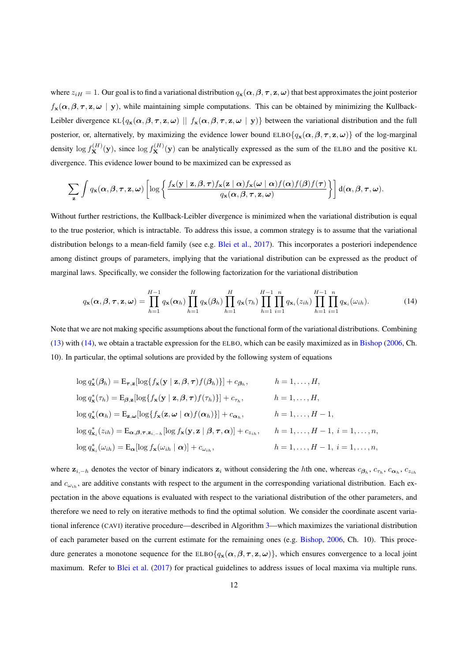where  $z_{iH} = 1$ . Our goal is to find a variational distribution  $q_x(\alpha, \beta, \tau, z, \omega)$  that best approximates the joint posterior  $f_{\mathbf{x}}(\alpha, \beta, \tau, \mathbf{z}, \omega \mid \mathbf{y})$ , while maintaining simple computations. This can be obtained by minimizing the Kullback-Leibler divergence KL{ $q_x(\alpha, \beta, \tau, z, \omega)$  ||  $f_x(\alpha, \beta, \tau, z, \omega | y)$ } between the variational distribution and the full posterior, or, alternatively, by maximizing the evidence lower bound ELBO $\{q_{\mathbf{x}}(\alpha,\beta,\tau,\mathbf{z},\omega)\}\)$  of the log-marginal density  $\log f_{\mathbf{X}}^{(H)}(\mathbf{y})$ , since  $\log f_{\mathbf{X}}^{(H)}(\mathbf{y})$  can be analytically expressed as the sum of the ELBO and the positive KL divergence. This evidence lower bound to be maximized can be expressed as

$$
\sum_{\mathbf{z}} \int q_{\mathbf{x}}(\boldsymbol{\alpha},\boldsymbol{\beta},\boldsymbol{\tau},\mathbf{z},\boldsymbol{\omega}) \left[ \log \left\{ \frac{f_{\mathbf{x}}(\mathbf{y} \mid \mathbf{z},\boldsymbol{\beta},\boldsymbol{\tau}) f_{\mathbf{x}}(\mathbf{z} \mid \boldsymbol{\alpha}) f_{\mathbf{x}}(\boldsymbol{\omega} \mid \boldsymbol{\alpha}) f(\boldsymbol{\alpha}) f(\boldsymbol{\beta}) f(\boldsymbol{\tau})}{q_{\mathbf{x}}(\boldsymbol{\alpha},\boldsymbol{\beta},\boldsymbol{\tau},\mathbf{z},\boldsymbol{\omega})} \right\} \right] d(\boldsymbol{\alpha},\boldsymbol{\beta},\boldsymbol{\tau},\boldsymbol{\omega}).
$$

Without further restrictions, the Kullback-Leibler divergence is minimized when the variational distribution is equal to the true posterior, which is intractable. To address this issue, a common strategy is to assume that the variational distribution belongs to a mean-field family (see e.g. [Blei et al.,](#page-16-21) [2017\)](#page-16-21). This incorporates a posteriori independence among distinct groups of parameters, implying that the variational distribution can be expressed as the product of marginal laws. Specifically, we consider the following factorization for the variational distribution

<span id="page-11-0"></span>
$$
q_{\mathbf{x}}(\boldsymbol{\alpha},\boldsymbol{\beta},\boldsymbol{\tau},\mathbf{z},\boldsymbol{\omega}) = \prod_{h=1}^{H-1} q_{\mathbf{x}}(\boldsymbol{\alpha}_h) \prod_{h=1}^{H} q_{\mathbf{x}}(\boldsymbol{\beta}_h) \prod_{h=1}^{H} q_{\mathbf{x}}(\tau_h) \prod_{h=1}^{H-1} \prod_{i=1}^{n} q_{\mathbf{x}_i}(z_{ih}) \prod_{h=1}^{H-1} \prod_{i=1}^{n} q_{\mathbf{x}_i}(\omega_{ih}).
$$
 (14)

Note that we are not making specific assumptions about the functional form of the variational distributions. Combining [\(13\)](#page-10-0) with [\(14\)](#page-11-0), we obtain a tractable expression for the ELBO, which can be easily maximized as in [Bishop](#page-16-18) [\(2006,](#page-16-18) Ch. 10). In particular, the optimal solutions are provided by the following system of equations

$$
\log q_{\mathbf{x}}^{*}(\beta_{h}) = \mathbf{E}_{\tau,\mathbf{z}}[\log\{f_{\mathbf{x}}(\mathbf{y} \mid \mathbf{z}, \beta, \tau)f(\beta_{h})\}] + c_{\beta_{h}}, \qquad h = 1, ..., H,
$$
  
\n
$$
\log q_{\mathbf{x}}^{*}(\tau_{h}) = \mathbf{E}_{\beta,\mathbf{z}}[\log\{f_{\mathbf{x}}(\mathbf{y} \mid \mathbf{z}, \beta, \tau)f(\tau_{h})\}] + c_{\tau_{h}}, \qquad h = 1, ..., H,
$$
  
\n
$$
\log q_{\mathbf{x}}^{*}(\alpha_{h}) = \mathbf{E}_{\mathbf{z},\omega}[\log\{f_{\mathbf{x}}(\mathbf{z},\omega \mid \alpha)f(\alpha_{h})\}] + c_{\alpha_{h}}, \qquad h = 1, ..., H - 1,
$$
  
\n
$$
\log q_{\mathbf{x}_{i}}^{*}(z_{ih}) = \mathbf{E}_{\alpha,\beta,\tau,\mathbf{z}_{i,-h}}[\log f_{\mathbf{x}}(\mathbf{y},\mathbf{z} \mid \beta,\tau,\alpha)] + c_{z_{ih}}, \qquad h = 1, ..., H - 1, i = 1, ..., n,
$$
  
\n
$$
\log q_{\mathbf{x}_{i}}^{*}(\omega_{ih}) = \mathbf{E}_{\alpha}[\log f_{\mathbf{x}}(\omega_{ih} \mid \alpha)] + c_{\omega_{ih}}, \qquad h = 1, ..., H - 1, i = 1, ..., n,
$$

where  $z_{i,-h}$  denotes the vector of binary indicators  $z_i$  without considering the hth one, whereas  $c_{\beta_h}, c_{\tau_h}, c_{\alpha_h}, c_{z_{ih}}$ and  $c_{\omega_{ih}}$ , are additive constants with respect to the argument in the corresponding variational distribution. Each expectation in the above equations is evaluated with respect to the variational distribution of the other parameters, and therefore we need to rely on iterative methods to find the optimal solution. We consider the coordinate ascent variational inference (CAVI) iterative procedure—described in Algorithm [3—](#page-10-1)which maximizes the variational distribution of each parameter based on the current estimate for the remaining ones (e.g. [Bishop,](#page-16-18) [2006,](#page-16-18) Ch. 10). This procedure generates a monotone sequence for the ELBO $\{q_{\mathbf{x}}(\alpha,\beta,\tau,\mathbf{z},\omega)\}\,$ , which ensures convergence to a local joint maximum. Refer to [Blei et al.](#page-16-21) [\(2017\)](#page-16-21) for practical guidelines to address issues of local maxima via multiple runs.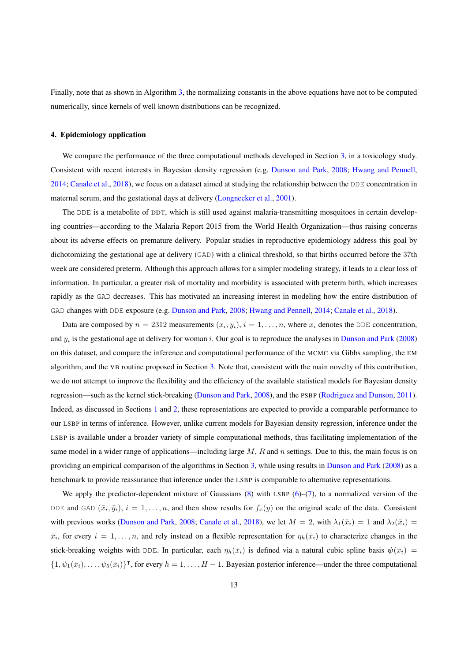Finally, note that as shown in Algorithm [3,](#page-10-1) the normalizing constants in the above equations have not to be computed numerically, since kernels of well known distributions can be recognized.

# <span id="page-12-0"></span>4. Epidemiology application

We compare the performance of the three computational methods developed in Section [3,](#page-5-0) in a toxicology study. Consistent with recent interests in Bayesian density regression (e.g. [Dunson and Park,](#page-16-0) [2008;](#page-16-0) [Hwang and Pennell,](#page-16-23) [2014;](#page-16-23) [Canale et al.,](#page-16-24) [2018\)](#page-16-24), we focus on a dataset aimed at studying the relationship between the DDE concentration in maternal serum, and the gestational days at delivery [\(Longnecker et al.,](#page-17-20) [2001\)](#page-17-20).

The DDE is a metabolite of DDT, which is still used against malaria-transmitting mosquitoes in certain developing countries—according to the Malaria Report 2015 from the World Health Organization—thus raising concerns about its adverse effects on premature delivery. Popular studies in reproductive epidemiology address this goal by dichotomizing the gestational age at delivery (GAD) with a clinical threshold, so that births occurred before the 37th week are considered preterm. Although this approach allows for a simpler modeling strategy, it leads to a clear loss of information. In particular, a greater risk of mortality and morbidity is associated with preterm birth, which increases rapidly as the GAD decreases. This has motivated an increasing interest in modeling how the entire distribution of GAD changes with DDE exposure (e.g. [Dunson and Park,](#page-16-0) [2008;](#page-16-0) [Hwang and Pennell,](#page-16-23) [2014;](#page-16-23) [Canale et al.,](#page-16-24) [2018\)](#page-16-24).

Data are composed by  $n = 2312$  measurements  $(x_i, y_i)$ ,  $i = 1, \dots, n$ , where  $x_i$  denotes the DDE concentration, and  $y_i$  is the gestational age at delivery for woman i. Our goal is to reproduce the analyses in [Dunson and Park](#page-16-0) [\(2008\)](#page-16-0) on this dataset, and compare the inference and computational performance of the MCMC via Gibbs sampling, the EM algorithm, and the VB routine proposed in Section [3.](#page-5-0) Note that, consistent with the main novelty of this contribution, we do not attempt to improve the flexibility and the efficiency of the available statistical models for Bayesian density regression—such as the kernel stick-breaking [\(Dunson and Park,](#page-16-0) [2008\)](#page-16-0), and the PSBP [\(Rodriguez and Dunson,](#page-17-6) [2011\)](#page-17-6). Indeed, as discussed in Sections [1](#page-0-0) and [2,](#page-2-0) these representations are expected to provide a comparable performance to our LSBP in terms of inference. However, unlike current models for Bayesian density regression, inference under the LSBP is available under a broader variety of simple computational methods, thus facilitating implementation of the same model in a wider range of applications—including large  $M$ ,  $R$  and  $n$  settings. Due to this, the main focus is on providing an empirical comparison of the algorithms in Section [3,](#page-5-0) while using results in [Dunson and Park](#page-16-0) [\(2008\)](#page-16-0) as a benchmark to provide reassurance that inference under the LSBP is comparable to alternative representations.

We apply the predictor-dependent mixture of Gaussians  $(8)$  with LSBP  $(6)$ – $(7)$ , to a normalized version of the DDE and GAD  $(\bar{x}_i, \bar{y}_i), i = 1, \ldots, n$ , and then show results for  $f_x(y)$  on the original scale of the data. Consistent with previous works [\(Dunson and Park,](#page-16-0) [2008;](#page-16-0) [Canale et al.,](#page-16-24) [2018\)](#page-16-24), we let  $M = 2$ , with  $\lambda_1(\bar{x}_i) = 1$  and  $\lambda_2(\bar{x}_i) =$  $\bar{x}_i$ , for every  $i = 1, \ldots, n$ , and rely instead on a flexible representation for  $\eta_h(\bar{x}_i)$  to characterize changes in the stick-breaking weights with DDE. In particular, each  $\eta_h(\bar{x}_i)$  is defined via a natural cubic spline basis  $\psi(\bar{x}_i)$  =  $\{1, \psi_1(\bar{x}_i), \dots, \psi_5(\bar{x}_i)\}^{\dagger}$ , for every  $h = 1, \dots, H - 1$ . Bayesian posterior inference—under the three computational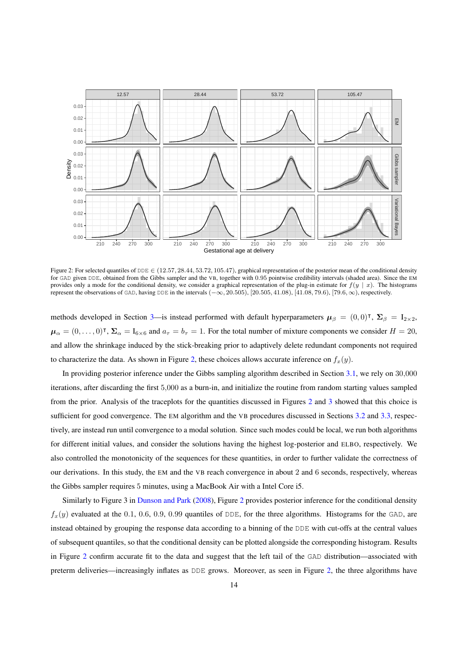

<span id="page-13-0"></span>Figure 2: For selected quantiles of DDE  $\in$  (12.57, 28.44, 53.72, 105.47), graphical representation of the posterior mean of the conditional density for GAD given DDE, obtained from the Gibbs sampler and the VB, together with 0.95 pointwise credibility intervals (shaded area). Since the EM provides only a mode for the conditional density, we consider a graphical representation of the plug-in estimate for  $f(y | x)$ . The histograms represent the observations of GAD, having DDE in the intervals (−∞, 20.505), [20.505, 41.08), [41.08, 79.6), [79.6, ∞), respectively.

methods developed in Section [3—](#page-5-0)is instead performed with default hyperparameters  $\mu_{\beta} = (0,0)^{\dagger}$ ,  $\Sigma_{\beta} = I_{2 \times 2}$ ,  $\mu_{\alpha} = (0, \dots, 0)^{\dagger}$ ,  $\Sigma_{\alpha} = I_{6 \times 6}$  and  $a_{\tau} = b_{\tau} = 1$ . For the total number of mixture components we consider  $H = 20$ , and allow the shrinkage induced by the stick-breaking prior to adaptively delete redundant components not required to characterize the data. As shown in Figure [2,](#page-13-0) these choices allows accurate inference on  $f_x(y)$ .

In providing posterior inference under the Gibbs sampling algorithm described in Section [3.1,](#page-6-2) we rely on 30,000 iterations, after discarding the first 5,000 as a burn-in, and initialize the routine from random starting values sampled from the prior. Analysis of the traceplots for the quantities discussed in Figures [2](#page-13-0) and [3](#page-14-1) showed that this choice is sufficient for good convergence. The EM algorithm and the VB procedures discussed in Sections [3.2](#page-7-0) and [3.3,](#page-9-0) respectively, are instead run until convergence to a modal solution. Since such modes could be local, we run both algorithms for different initial values, and consider the solutions having the highest log-posterior and ELBO, respectively. We also controlled the monotonicity of the sequences for these quantities, in order to further validate the correctness of our derivations. In this study, the EM and the VB reach convergence in about 2 and 6 seconds, respectively, whereas the Gibbs sampler requires 5 minutes, using a MacBook Air with a Intel Core i5.

Similarly to Figure 3 in [Dunson and Park](#page-16-0) [\(2008\)](#page-16-0), Figure [2](#page-13-0) provides posterior inference for the conditional density  $f_x(y)$  evaluated at the 0.1, 0.6, 0.9, 0.99 quantiles of DDE, for the three algorithms. Histograms for the GAD, are instead obtained by grouping the response data according to a binning of the DDE with cut-offs at the central values of subsequent quantiles, so that the conditional density can be plotted alongside the corresponding histogram. Results in Figure [2](#page-13-0) confirm accurate fit to the data and suggest that the left tail of the GAD distribution—associated with preterm deliveries—increasingly inflates as DDE grows. Moreover, as seen in Figure [2,](#page-13-0) the three algorithms have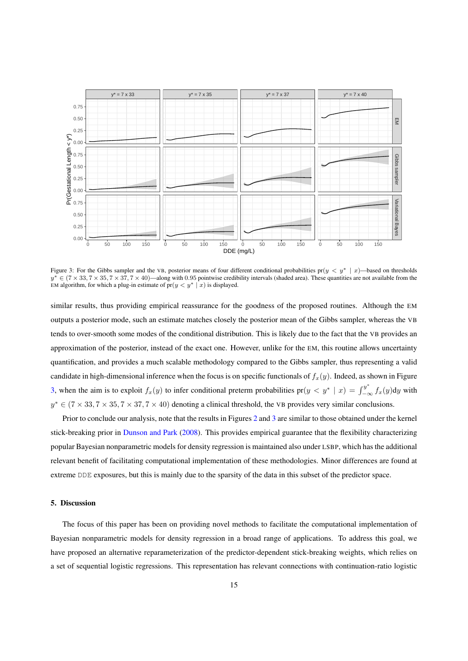

<span id="page-14-1"></span>Figure 3: For the Gibbs sampler and the VB, posterior means of four different conditional probabilities pr( $y < y^* | x$ )—based on thresholds  $y^* \in (7 \times 33, 7 \times 35, 7 \times 37, 7 \times 40)$ —along with 0.95 pointwise credibility intervals (shaded area). These quantities are not available from the EM algorithm, for which a plug-in estimate of  $pr(y < y^* | x)$  is displayed.

similar results, thus providing empirical reassurance for the goodness of the proposed routines. Although the EM outputs a posterior mode, such an estimate matches closely the posterior mean of the Gibbs sampler, whereas the VB tends to over-smooth some modes of the conditional distribution. This is likely due to the fact that the VB provides an approximation of the posterior, instead of the exact one. However, unlike for the EM, this routine allows uncertainty quantification, and provides a much scalable methodology compared to the Gibbs sampler, thus representing a valid candidate in high-dimensional inference when the focus is on specific functionals of  $f_x(y)$ . Indeed, as shown in Figure [3,](#page-14-1) when the aim is to exploit  $f_x(y)$  to infer conditional preterm probabilities  $pr(y \lt y^* | x) = \int_{-\infty}^{y^*} f_x(y) dy$  with  $y^* \in (7 \times 33, 7 \times 35, 7 \times 37, 7 \times 40)$  denoting a clinical threshold, the VB provides very similar conclusions.

Prior to conclude our analysis, note that the results in Figures [2](#page-13-0) and [3](#page-14-1) are similar to those obtained under the kernel stick-breaking prior in [Dunson and Park](#page-16-0) [\(2008\)](#page-16-0). This provides empirical guarantee that the flexibility characterizing popular Bayesian nonparametric models for density regression is maintained also under LSBP, which has the additional relevant benefit of facilitating computational implementation of these methodologies. Minor differences are found at extreme DDE exposures, but this is mainly due to the sparsity of the data in this subset of the predictor space.

# <span id="page-14-0"></span>5. Discussion

The focus of this paper has been on providing novel methods to facilitate the computational implementation of Bayesian nonparametric models for density regression in a broad range of applications. To address this goal, we have proposed an alternative reparameterization of the predictor-dependent stick-breaking weights, which relies on a set of sequential logistic regressions. This representation has relevant connections with continuation-ratio logistic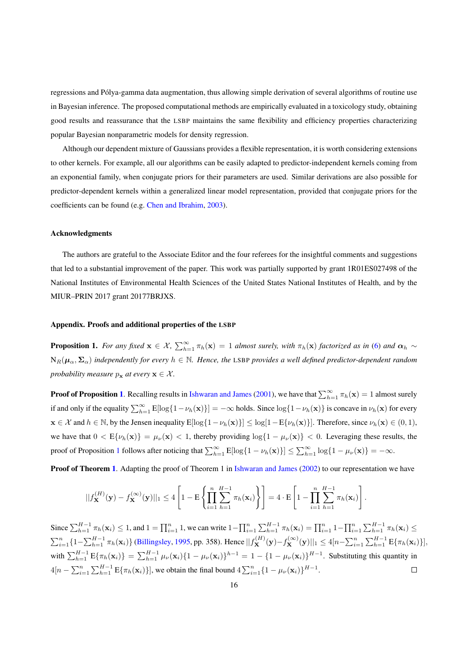regressions and Polya-gamma data augmentation, thus allowing simple derivation of several algorithms of routine use ´ in Bayesian inference. The proposed computational methods are empirically evaluated in a toxicology study, obtaining good results and reassurance that the LSBP maintains the same flexibility and efficiency properties characterizing popular Bayesian nonparametric models for density regression.

Although our dependent mixture of Gaussians provides a flexible representation, it is worth considering extensions to other kernels. For example, all our algorithms can be easily adapted to predictor-independent kernels coming from an exponential family, when conjugate priors for their parameters are used. Similar derivations are also possible for predictor-dependent kernels within a generalized linear model representation, provided that conjugate priors for the coefficients can be found (e.g. [Chen and Ibrahim,](#page-16-25) [2003\)](#page-16-25).

#### Acknowledgments

The authors are grateful to the Associate Editor and the four referees for the insightful comments and suggestions that led to a substantial improvement of the paper. This work was partially supported by grant 1R01ES027498 of the National Institutes of Environmental Health Sciences of the United States National Institutes of Health, and by the MIUR–PRIN 2017 grant 20177BRJXS.

### Appendix. Proofs and additional properties of the LSBP

<span id="page-15-0"></span>**Proposition 1.** For any fixed  $\mathbf{x} \in \mathcal{X}$ ,  $\sum_{h=1}^{\infty} \pi_h(\mathbf{x}) = 1$  almost surely, with  $\pi_h(\mathbf{x})$  factorized as in [\(6\)](#page-4-3) and  $\alpha_h \sim$  $N_R(\mu_\alpha, \Sigma_\alpha)$  *independently for every*  $h \in \mathbb{N}$ . Hence, the LSBP *provides a well defined predictor-dependent random probability measure*  $p_x$  *at every*  $x \in \mathcal{X}$ *.* 

**Proof of Proposition [1](#page-15-0).** Recalling results in [Ishwaran and James](#page-16-3) [\(2001\)](#page-16-3), we have that  $\sum_{h=1}^{\infty} \pi_h(\mathbf{x}) = 1$  almost surely if and only if the equality  $\sum_{h=1}^{\infty} E[\log\{1-\nu_h(\mathbf{x})\}] = -\infty$  holds. Since  $\log\{1-\nu_h(\mathbf{x})\}$  is concave in  $\nu_h(\mathbf{x})$  for every  $\mathbf{x} \in \mathcal{X}$  and  $h \in \mathbb{N}$ , by the Jensen inequality  $E[\log\{1-\nu_h(\mathbf{x})\}] \leq \log[1-E\{\nu_h(\mathbf{x})\}]$ . Therefore, since  $\nu_h(\mathbf{x}) \in (0,1)$ , we have that  $0 < E\{\nu_h(\mathbf{x})\} = \mu_v(\mathbf{x}) < 1$ , thereby providing  $\log\{1 - \mu_v(\mathbf{x})\} < 0$ . Leveraging these results, the proof of Proposition [1](#page-15-0) follows after noticing that  $\sum_{h=1}^{\infty} E[\log\{1 - \nu_h(\mathbf{x})\}] \le \sum_{h=1}^{\infty} \log\{1 - \mu_v(\mathbf{x})\} = -\infty$ .

**Proof of Theorem [1](#page-5-2).** Adapting the proof of Theorem 1 in [Ishwaran and James](#page-17-21) [\(2002\)](#page-17-21) to our representation we have

$$
||f_{\mathbf{X}}^{(H)}(\mathbf{y}) - f_{\mathbf{X}}^{(\infty)}(\mathbf{y})||_1 \le 4 \left[1 - \mathbf{E} \left\{ \prod_{i=1}^n \sum_{h=1}^{H-1} \pi_h(\mathbf{x}_i) \right\} \right] = 4 \cdot \mathbf{E} \left[1 - \prod_{i=1}^n \sum_{h=1}^{H-1} \pi_h(\mathbf{x}_i) \right].
$$

Since  $\sum_{h=1}^{H-1} \pi_h(\mathbf{x}_i) \leq 1$ , and  $1 = \prod_{i=1}^n 1$ , we can write  $1 - \prod_{i=1}^n \sum_{h=1}^{H-1} \pi_h(\mathbf{x}_i) = \prod_{i=1}^n 1 - \prod_{i=1}^n \sum_{h=1}^{H-1} \pi_h(\mathbf{x}_i) \leq 1$  $\sum_{i=1}^{n} \{1 - \sum_{h=1}^{H-1} \pi_h(\mathbf{x}_i)\}\$ [\(Billingsley,](#page-16-26) [1995,](#page-16-26) pp. 358). Hence  $||f_{\mathbf{X}}^{(H)}(\mathbf{y}) - f_{\mathbf{X}}^{(\infty)}(\mathbf{y})||_1 \le 4[n - \sum_{i=1}^{n} \sum_{h=1}^{H-1} E\{\pi_h(\mathbf{x}_i)\}],$ with  $\sum_{h=1}^{H-1}$   $E\{\pi_h(\mathbf{x}_i)\} = \sum_{h=1}^{H-1} \mu_v(\mathbf{x}_i) \{1 - \mu_v(\mathbf{x}_i)\}^{h-1} = 1 - \{1 - \mu_v(\mathbf{x}_i)\}^{H-1}$ . Substituting this quantity in  $4[n - \sum_{i=1}^{n} \sum_{h=1}^{H-1} E\{\pi_h(\mathbf{x}_i)\}]$ , we obtain the final bound  $4\sum_{i=1}^{n} \{1 - \mu_v(\mathbf{x}_i)\}^{H-1}$ .  $\Box$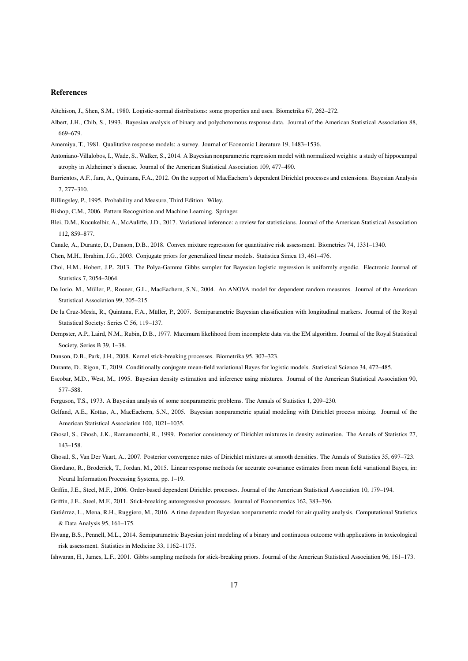#### References

<span id="page-16-15"></span><span id="page-16-13"></span>Aitchison, J., Shen, S.M., 1980. Logistic-normal distributions: some properties and uses. Biometrika 67, 262–272.

Albert, J.H., Chib, S., 1993. Bayesian analysis of binary and polychotomous response data. Journal of the American Statistical Association 88, 669–679.

<span id="page-16-16"></span><span id="page-16-11"></span>Amemiya, T., 1981. Qualitative response models: a survey. Journal of Economic Literature 19, 1483–1536.

- Antoniano-Villalobos, I., Wade, S., Walker, S., 2014. A Bayesian nonparametric regression model with normalized weights: a study of hippocampal atrophy in Alzheimer's disease. Journal of the American Statistical Association 109, 477–490.
- <span id="page-16-17"></span>Barrientos, A.F., Jara, A., Quintana, F.A., 2012. On the support of MacEachern's dependent Dirichlet processes and extensions. Bayesian Analysis 7, 277–310.
- <span id="page-16-26"></span><span id="page-16-18"></span>Billingsley, P., 1995. Probability and Measure, Third Edition. Wiley.

<span id="page-16-21"></span>Bishop, C.M., 2006. Pattern Recognition and Machine Learning. Springer.

- Blei, D.M., Kucukelbir, A., McAuliffe, J.D., 2017. Variational inference: a review for statisticians. Journal of the American Statistical Association 112, 859–877.
- <span id="page-16-25"></span><span id="page-16-24"></span>Canale, A., Durante, D., Dunson, D.B., 2018. Convex mixture regression for quantitative risk assessment. Biometrics 74, 1331–1340.

<span id="page-16-19"></span>Chen, M.H., Ibrahim, J.G., 2003. Conjugate priors for generalized linear models. Statistica Sinica 13, 461–476.

- Choi, H.M., Hobert, J.P., 2013. The Polya-Gamma Gibbs sampler for Bayesian logistic regression is uniformly ergodic. Electronic Journal of Statistics 7, 2054–2064.
- <span id="page-16-7"></span>De Iorio, M., Müller, P., Rosner, G.L., MacEachern, S.N., 2004. An ANOVA model for dependent random measures. Journal of the American Statistical Association 99, 205–215.
- <span id="page-16-9"></span>De la Cruz-Mesía, R., Quintana, F.A., Müller, P., 2007. Semiparametric Bayesian classification with longitudinal markers. Journal of the Royal Statistical Society: Series C 56, 119–137.
- <span id="page-16-20"></span>Dempster, A.P., Laird, N.M., Rubin, D.B., 1977. Maximum likelihood from incomplete data via the EM algorithm. Journal of the Royal Statistical Society, Series B 39, 1–38.
- <span id="page-16-14"></span><span id="page-16-0"></span>Dunson, D.B., Park, J.H., 2008. Kernel stick-breaking processes. Biometrika 95, 307–323.
- <span id="page-16-4"></span>Durante, D., Rigon, T., 2019. Conditionally conjugate mean-field variational Bayes for logistic models. Statistical Science 34, 472–485.
- Escobar, M.D., West, M., 1995. Bayesian density estimation and inference using mixtures. Journal of the American Statistical Association 90, 577–588.
- <span id="page-16-8"></span><span id="page-16-2"></span>Ferguson, T.S., 1973. A Bayesian analysis of some nonparametric problems. The Annals of Statistics 1, 209–230.
- Gelfand, A.E., Kottas, A., MacEachern, S.N., 2005. Bayesian nonparametric spatial modeling with Dirichlet process mixing. Journal of the American Statistical Association 100, 1021–1035.
- <span id="page-16-5"></span>Ghosal, S., Ghosh, J.K., Ramamoorthi, R., 1999. Posterior consistency of Dirichlet mixtures in density estimation. The Annals of Statistics 27, 143–158.

<span id="page-16-22"></span><span id="page-16-6"></span>Ghosal, S., Van Der Vaart, A., 2007. Posterior convergence rates of Dirichlet mixtures at smooth densities. The Annals of Statistics 35, 697–723.

- Giordano, R., Broderick, T., Jordan, M., 2015. Linear response methods for accurate covariance estimates from mean field variational Bayes, in: Neural Information Processing Systems, pp. 1–19.
- <span id="page-16-10"></span><span id="page-16-1"></span>Griffin, J.E., Steel, M.F., 2006. Order-based dependent Dirichlet processes. Journal of the American Statistical Association 10, 179–194.
- <span id="page-16-12"></span>Griffin, J.E., Steel, M.F., 2011. Stick-breaking autoregressive processes. Journal of Econometrics 162, 383–396.
- Gutiérrez, L., Mena, R.H., Ruggiero, M., 2016. A time dependent Bayesian nonparametric model for air quality analysis. Computational Statistics & Data Analysis 95, 161–175.
- <span id="page-16-23"></span>Hwang, B.S., Pennell, M.L., 2014. Semiparametric Bayesian joint modeling of a binary and continuous outcome with applications in toxicological risk assessment. Statistics in Medicine 33, 1162–1175.
- <span id="page-16-3"></span>Ishwaran, H., James, L.F., 2001. Gibbs sampling methods for stick-breaking priors. Journal of the American Statistical Association 96, 161–173.